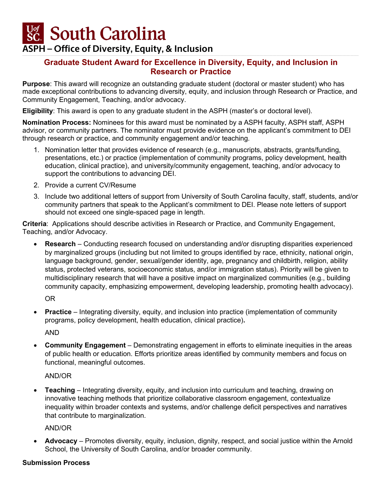**Sc.** South Carolina

## **ASPH – Office of Diversity, Equity, & Inclusion**

### **Graduate Student Award for Excellence in Diversity, Equity, and Inclusion in Research or Practice**

**Purpose**: This award will recognize an outstanding graduate student (doctoral or master student) who has made exceptional contributions to advancing diversity, equity, and inclusion through Research or Practice, and Community Engagement, Teaching, and/or advocacy.

**Eligibility**: This award is open to any graduate student in the ASPH (master's or doctoral level).

**Nomination Process:** Nominees for this award must be nominated by a ASPH faculty, ASPH staff, ASPH advisor, or community partners. The nominator must provide evidence on the applicant's commitment to DEI through research or practice, and community engagement and/or teaching.

- 1. Nomination letter that provides evidence of research (e.g., manuscripts, abstracts, grants/funding, presentations, etc.) or practice (implementation of community programs, policy development, health education, clinical practice), and university/community engagement, teaching, and/or advocacy to support the contributions to advancing DEI.
- 2. Provide a current CV/Resume
- 3. Include two additional letters of support from University of South Carolina faculty, staff, students, and/or community partners that speak to the Applicant's commitment to DEI. Please note letters of support should not exceed one single-spaced page in length.

**Criteria**: Applications should describe activities in Research or Practice, and Community Engagement, Teaching, and/or Advocacy.

• **Research** – Conducting research focused on understanding and/or disrupting disparities experienced by marginalized groups (including but not limited to groups identified by race, ethnicity, national origin, language background, gender, sexual/gender identity, age, pregnancy and childbirth, religion, ability status, protected veterans, socioeconomic status, and/or immigration status). Priority will be given to multidisciplinary research that will have a positive impact on marginalized communities (e.g., building community capacity, emphasizing empowerment, developing leadership, promoting health advocacy).

OR

**Practice** – Integrating diversity, equity, and inclusion into practice (implementation of community programs, policy development, health education, clinical practice)**.** 

AND

• **Community Engagement** – Demonstrating engagement in efforts to eliminate inequities in the areas of public health or education. Efforts prioritize areas identified by community members and focus on functional, meaningful outcomes.

#### AND/OR

• **Teaching** – Integrating diversity, equity, and inclusion into curriculum and teaching, drawing on innovative teaching methods that prioritize collaborative classroom engagement, contextualize inequality within broader contexts and systems, and/or challenge deficit perspectives and narratives that contribute to marginalization.

AND/OR

• **Advocacy** – Promotes diversity, equity, inclusion, dignity, respect, and social justice within the Arnold School, the University of South Carolina, and/or broader community.

#### **Submission Process**